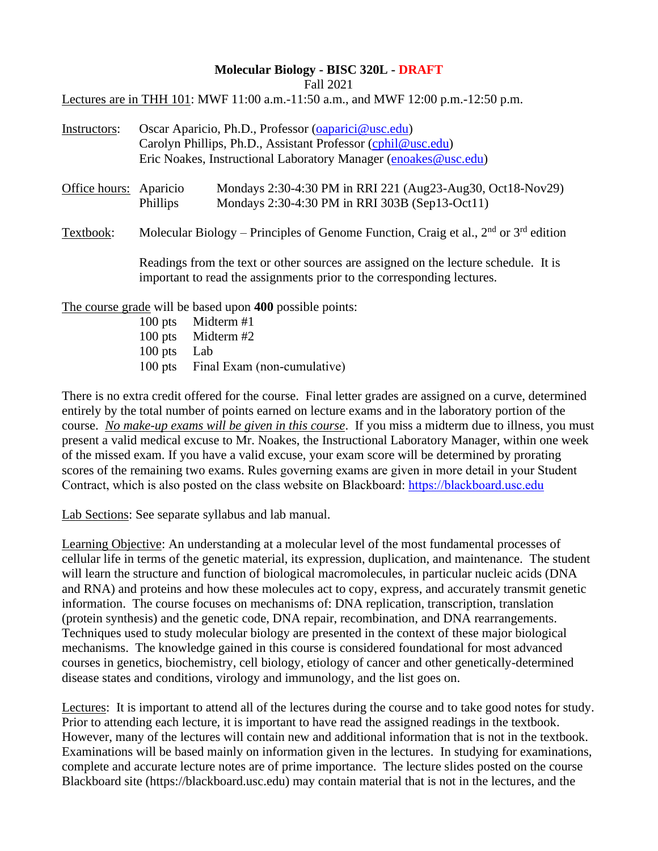#### **Molecular Biology - BISC 320L - DRAFT**

Fall 2021

Lectures are in THH 101: MWF 11:00 a.m.-11:50 a.m., and MWF 12:00 p.m.-12:50 p.m.

| Instructors:           | Oscar Aparicio, Ph.D., Professor (oaparici@usc.edu)                                     |                                                                                                                                                               |  |  |  |
|------------------------|-----------------------------------------------------------------------------------------|---------------------------------------------------------------------------------------------------------------------------------------------------------------|--|--|--|
|                        | Carolyn Phillips, Ph.D., Assistant Professor (cphil@usc.edu)                            |                                                                                                                                                               |  |  |  |
|                        |                                                                                         | Eric Noakes, Instructional Laboratory Manager (enoakes@usc.edu)                                                                                               |  |  |  |
| Office hours: Aparicio | Phillips                                                                                | Mondays 2:30-4:30 PM in RRI 221 (Aug23-Aug30, Oct18-Nov29)<br>Mondays 2:30-4:30 PM in RRI 303B (Sep13-Oct11)                                                  |  |  |  |
| Textbook:              | Molecular Biology – Principles of Genome Function, Craig et al., $2nd$ or $3rd$ edition |                                                                                                                                                               |  |  |  |
|                        |                                                                                         | Readings from the text or other sources are assigned on the lecture schedule. It is<br>important to read the assignments prior to the corresponding lectures. |  |  |  |
|                        |                                                                                         | The course grade will be based upon $400$ possible points:                                                                                                    |  |  |  |

The course grade will be based upon **400** possible points:

100 pts Midterm #1 100 pts Midterm #2 100 pts Lab 100 pts Final Exam (non-cumulative)

There is no extra credit offered for the course. Final letter grades are assigned on a curve, determined entirely by the total number of points earned on lecture exams and in the laboratory portion of the course. *No make-up exams will be given in this course*. If you miss a midterm due to illness, you must present a valid medical excuse to Mr. Noakes, the Instructional Laboratory Manager, within one week of the missed exam. If you have a valid excuse, your exam score will be determined by prorating scores of the remaining two exams. Rules governing exams are given in more detail in your Student Contract, which is also posted on the class website on Blackboard: [https://blackboard.usc.edu](https://blackboard.usc.edu/)

Lab Sections: See separate syllabus and lab manual.

Learning Objective: An understanding at a molecular level of the most fundamental processes of cellular life in terms of the genetic material, its expression, duplication, and maintenance. The student will learn the structure and function of biological macromolecules, in particular nucleic acids (DNA and RNA) and proteins and how these molecules act to copy, express, and accurately transmit genetic information. The course focuses on mechanisms of: DNA replication, transcription, translation (protein synthesis) and the genetic code, DNA repair, recombination, and DNA rearrangements. Techniques used to study molecular biology are presented in the context of these major biological mechanisms. The knowledge gained in this course is considered foundational for most advanced courses in genetics, biochemistry, cell biology, etiology of cancer and other genetically-determined disease states and conditions, virology and immunology, and the list goes on.

Lectures: It is important to attend all of the lectures during the course and to take good notes for study. Prior to attending each lecture, it is important to have read the assigned readings in the textbook. However, many of the lectures will contain new and additional information that is not in the textbook. Examinations will be based mainly on information given in the lectures. In studying for examinations, complete and accurate lecture notes are of prime importance. The lecture slides posted on the course Blackboard site (https://blackboard.usc.edu) may contain material that is not in the lectures, and the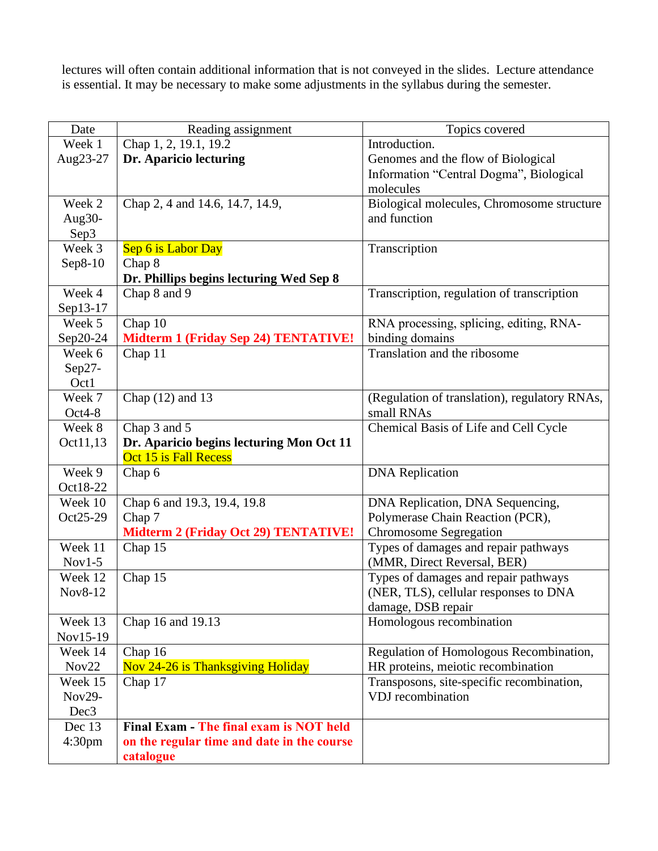lectures will often contain additional information that is not conveyed in the slides. Lecture attendance is essential. It may be necessary to make some adjustments in the syllabus during the semester.

| Date               | Reading assignment                          | Topics covered                                |  |  |
|--------------------|---------------------------------------------|-----------------------------------------------|--|--|
| Week 1             | Chap 1, 2, 19.1, 19.2                       | Introduction.                                 |  |  |
| Aug23-27           | Dr. Aparicio lecturing                      | Genomes and the flow of Biological            |  |  |
|                    |                                             | Information "Central Dogma", Biological       |  |  |
|                    |                                             | molecules                                     |  |  |
| Week 2             | Chap 2, 4 and 14.6, 14.7, 14.9,             | Biological molecules, Chromosome structure    |  |  |
| Aug30-             |                                             | and function                                  |  |  |
| Sep3               |                                             |                                               |  |  |
| Week 3             | Sep 6 is Labor Day                          | Transcription                                 |  |  |
| Sep8-10            | Chap 8                                      |                                               |  |  |
|                    | Dr. Phillips begins lecturing Wed Sep 8     |                                               |  |  |
| Week 4             | Chap 8 and 9                                | Transcription, regulation of transcription    |  |  |
| Sep13-17           |                                             |                                               |  |  |
| Week 5             | Chap 10                                     | RNA processing, splicing, editing, RNA-       |  |  |
| Sep20-24           | <b>Midterm 1 (Friday Sep 24) TENTATIVE!</b> | binding domains                               |  |  |
| Week 6             | Chap 11                                     | Translation and the ribosome                  |  |  |
| $Sep27-$           |                                             |                                               |  |  |
| Oct1               |                                             |                                               |  |  |
| Week 7             | Chap $(12)$ and 13                          | (Regulation of translation), regulatory RNAs, |  |  |
| $Oct4-8$           |                                             | small RNAs                                    |  |  |
| Week 8             | Chap 3 and 5                                | Chemical Basis of Life and Cell Cycle         |  |  |
| Oct11,13           | Dr. Aparicio begins lecturing Mon Oct 11    |                                               |  |  |
|                    | Oct 15 is Fall Recess                       |                                               |  |  |
| Week 9             | Chap 6                                      | <b>DNA</b> Replication                        |  |  |
| Oct18-22           |                                             |                                               |  |  |
| Week 10            | Chap 6 and 19.3, 19.4, 19.8                 | DNA Replication, DNA Sequencing,              |  |  |
| Oct25-29           | Chap 7                                      | Polymerase Chain Reaction (PCR),              |  |  |
|                    | <b>Midterm 2 (Friday Oct 29) TENTATIVE!</b> | <b>Chromosome Segregation</b>                 |  |  |
| Week 11            | Chap 15                                     | Types of damages and repair pathways          |  |  |
| $Nov1-5$           |                                             | (MMR, Direct Reversal, BER)                   |  |  |
| Week 12            | Chap 15                                     | Types of damages and repair pathways          |  |  |
| Nov8-12            |                                             | (NER, TLS), cellular responses to DNA         |  |  |
|                    |                                             | damage, DSB repair                            |  |  |
| Week 13            | Chap 16 and 19.13                           | Homologous recombination                      |  |  |
| Nov15-19           |                                             |                                               |  |  |
| Week 14            | Chap 16                                     | Regulation of Homologous Recombination,       |  |  |
| Nov22              | Nov 24-26 is Thanksgiving Holiday           | HR proteins, meiotic recombination            |  |  |
| Week 15            | Chap 17                                     | Transposons, site-specific recombination,     |  |  |
| Nov29-             |                                             | VDJ recombination                             |  |  |
| Dec <sub>3</sub>   |                                             |                                               |  |  |
| Dec 13             | Final Exam - The final exam is NOT held     |                                               |  |  |
| 4:30 <sub>pm</sub> | on the regular time and date in the course  |                                               |  |  |
|                    | catalogue                                   |                                               |  |  |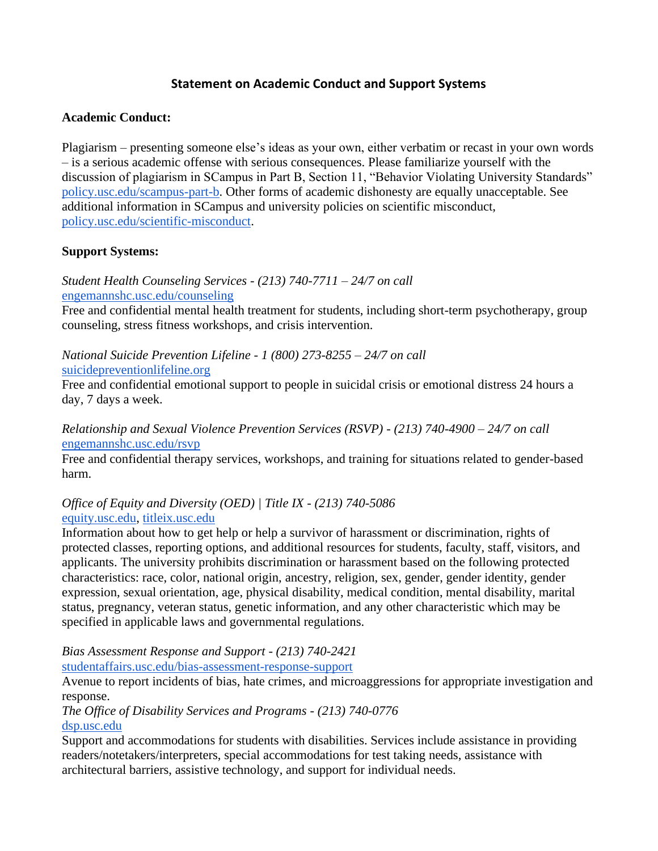## **Statement on Academic Conduct and Support Systems**

## **Academic Conduct:**

Plagiarism – presenting someone else's ideas as your own, either verbatim or recast in your own words – is a serious academic offense with serious consequences. Please familiarize yourself with the discussion of plagiarism in SCampus in Part B, Section 11, "Behavior Violating University Standards" [policy.usc.edu/scampus-part-b.](https://policy.usc.edu/scampus-part-b/) Other forms of academic dishonesty are equally unacceptable. See additional information in SCampus and university policies on scientific misconduct, [policy.usc.edu/scientific-misconduct.](http://policy.usc.edu/scientific-misconduct)

### **Support Systems:**

*Student Health Counseling Services - (213) 740-7711 – 24/7 on call* [engemannshc.usc.edu/counseling](https://engemannshc.usc.edu/counseling/)

Free and confidential mental health treatment for students, including short-term psychotherapy, group counseling, stress fitness workshops, and crisis intervention.

#### *National Suicide Prevention Lifeline - 1 (800) 273-8255 – 24/7 on call* [suicidepreventionlifeline.org](http://www.suicidepreventionlifeline.org/)

Free and confidential emotional support to people in suicidal crisis or emotional distress 24 hours a day, 7 days a week.

*Relationship and Sexual Violence Prevention Services (RSVP) - (213) 740-4900 – 24/7 on call* [engemannshc.usc.edu/rsvp](https://engemannshc.usc.edu/rsvp/)

Free and confidential therapy services, workshops, and training for situations related to gender-based harm[.](https://engemannshc.usc.edu/rsvp/)

## *Office of Equity and Diversity (OED) | Title IX - (213) 740-5086* [equity.usc.edu,](https://equity.usc.edu/) [titleix.usc.edu](http://titleix.usc.edu/)

Information about how to get help or help a survivor of harassment or discrimination, rights of protected classes, reporting options, and additional resources for students, faculty, staff, visitors, and applicants. The university prohibits discrimination or harassment based on the following protected characteristics: race, color, national origin, ancestry, religion, sex, gender, gender identity, gender expression, sexual orientation, age, physical disability, medical condition, mental disability, marital status, pregnancy, veteran status, genetic information, and any other characteristic which may be specified in applicable laws and governmental regulations[.](http://sarc.usc.edu/)

*Bias Assessment Response and Support - (213) 740-2421*

[studentaffairs.usc.edu/bias-assessment-response-support](https://studentaffairs.usc.edu/bias-assessment-response-support/)

Avenue to report incidents of bias, hate crimes, and microaggressions for appropriate investigation and response[.](https://studentaffairs.usc.edu/bias-assessment-response-support/)

*The Office of Disability Services and Programs - (213) 740-0776* [dsp.usc.edu](http://dsp.usc.edu/)

Support and accommodations for students with disabilities. Services include assistance in providing readers/notetakers/interpreters, special accommodations for test taking needs, assistance with architectural barriers, assistive technology, and support for individual needs[.](http://dsp.usc.edu/)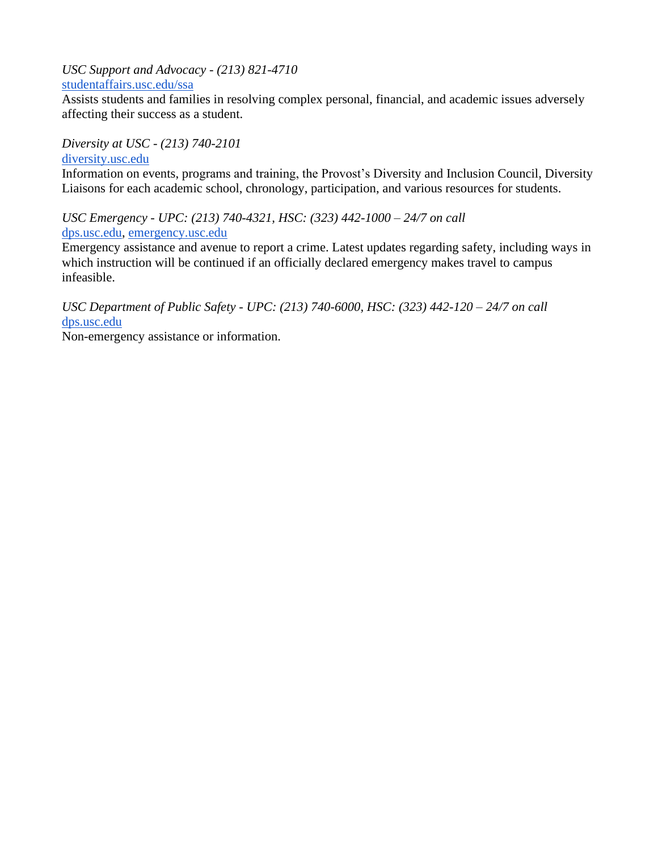*USC Support and Advocacy - (213) 821-4710* [studentaffairs.usc.edu/ssa](https://studentaffairs.usc.edu/ssa/)

Assists students and families in resolving complex personal, financial, and academic issues adversely affecting their success as a student[.](https://studentaffairs.usc.edu/ssa/)

*Diversity at USC - (213) 740-2101* [diversity.usc.edu](https://diversity.usc.edu/)

Information on events, programs and training, the Provost's Diversity and Inclusion Council, Diversity Liaisons for each academic school, chronology, participation, and various resources for students.

*USC Emergency - UPC: (213) 740-4321, HSC: (323) 442-1000 – 24/7 on call* [dps.usc.edu,](http://dps.usc.edu/) [emergency.usc.edu](http://emergency.usc.edu/)

Emergency assistance and avenue to report a crime. Latest updates regarding safety, including ways in which instruction will be continued if an officially declared emergency makes travel to campus infeasible.

*USC Department of Public Safety - UPC: (213) 740-6000, HSC: (323) 442-120 – 24/7 on call*  [dps.usc.edu](http://dps.usc.edu/)

Non-emergency assistance or information.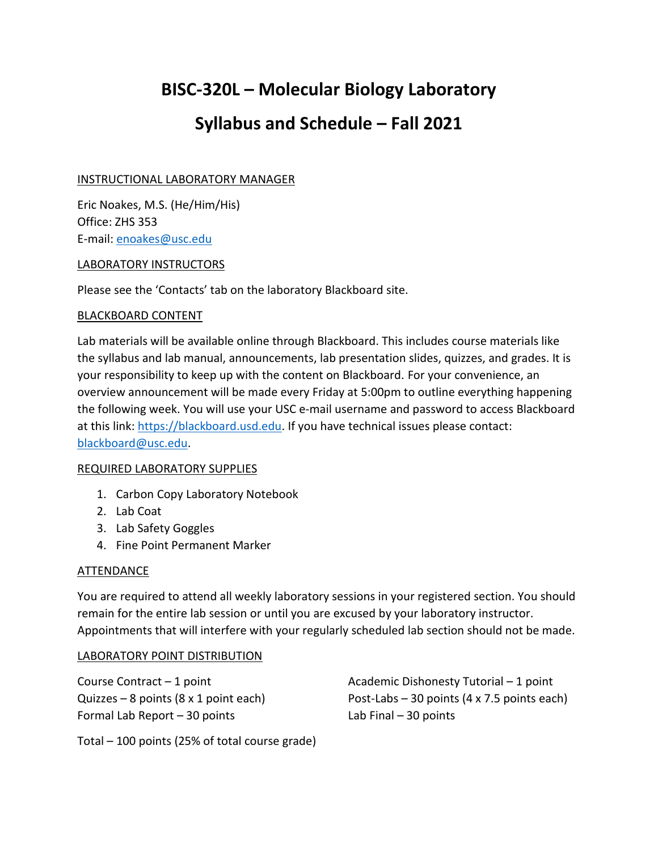## **BISC-320L – Molecular Biology Laboratory**

## **Syllabus and Schedule – Fall 2021**

## INSTRUCTIONAL LABORATORY MANAGER

Eric Noakes, M.S. (He/Him/His) Office: ZHS 353 E-mail: [enoakes@usc.edu](mailto:enoakes@usc.edu)

#### LABORATORY INSTRUCTORS

Please see the 'Contacts' tab on the laboratory Blackboard site.

#### BLACKBOARD CONTENT

Lab materials will be available online through Blackboard. This includes course materials like the syllabus and lab manual, announcements, lab presentation slides, quizzes, and grades. It is your responsibility to keep up with the content on Blackboard. For your convenience, an overview announcement will be made every Friday at 5:00pm to outline everything happening the following week. You will use your USC e-mail username and password to access Blackboard at this link: [https://blackboard.usd.edu.](https://blackboard.usd.edu/) If you have technical issues please contact: [blackboard@usc.edu.](mailto:blackboard@usc.edu)

#### REQUIRED LABORATORY SUPPLIES

- 1. Carbon Copy Laboratory Notebook
- 2. Lab Coat
- 3. Lab Safety Goggles
- 4. Fine Point Permanent Marker

#### ATTENDANCE

You are required to attend all weekly laboratory sessions in your registered section. You should remain for the entire lab session or until you are excused by your laboratory instructor. Appointments that will interfere with your regularly scheduled lab section should not be made.

#### LABORATORY POINT DISTRIBUTION

Formal Lab Report – 30 points Lab Final – 30 points

Course Contract – 1 point Academic Dishonesty Tutorial – 1 point Quizzes – 8 points (8 x 1 point each) Post-Labs – 30 points (4 x 7.5 points each)

Total – 100 points (25% of total course grade)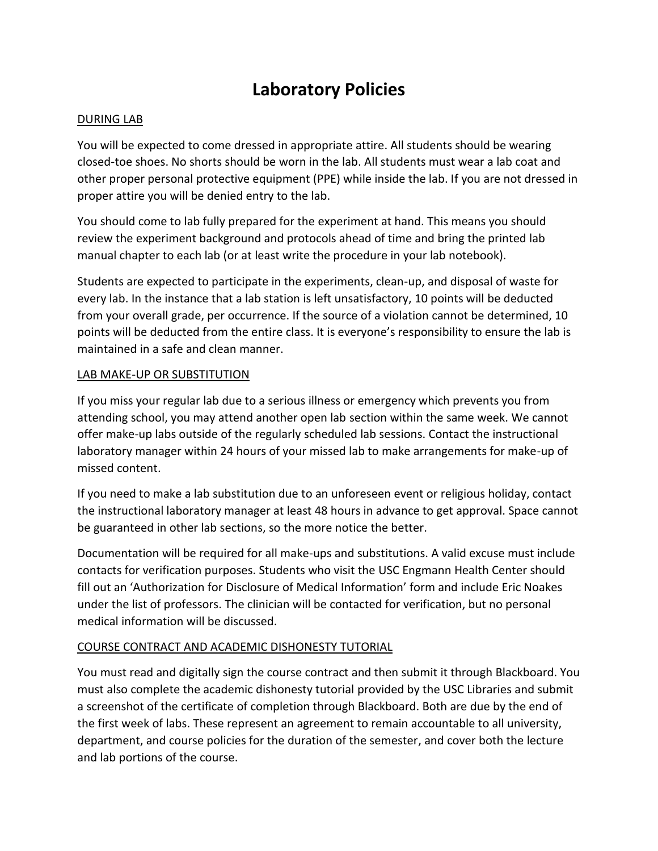## **Laboratory Policies**

#### DURING LAB

You will be expected to come dressed in appropriate attire. All students should be wearing closed-toe shoes. No shorts should be worn in the lab. All students must wear a lab coat and other proper personal protective equipment (PPE) while inside the lab. If you are not dressed in proper attire you will be denied entry to the lab.

You should come to lab fully prepared for the experiment at hand. This means you should review the experiment background and protocols ahead of time and bring the printed lab manual chapter to each lab (or at least write the procedure in your lab notebook).

Students are expected to participate in the experiments, clean-up, and disposal of waste for every lab. In the instance that a lab station is left unsatisfactory, 10 points will be deducted from your overall grade, per occurrence. If the source of a violation cannot be determined, 10 points will be deducted from the entire class. It is everyone's responsibility to ensure the lab is maintained in a safe and clean manner.

#### LAB MAKE-UP OR SUBSTITUTION

If you miss your regular lab due to a serious illness or emergency which prevents you from attending school, you may attend another open lab section within the same week. We cannot offer make-up labs outside of the regularly scheduled lab sessions. Contact the instructional laboratory manager within 24 hours of your missed lab to make arrangements for make-up of missed content.

If you need to make a lab substitution due to an unforeseen event or religious holiday, contact the instructional laboratory manager at least 48 hours in advance to get approval. Space cannot be guaranteed in other lab sections, so the more notice the better.

Documentation will be required for all make-ups and substitutions. A valid excuse must include contacts for verification purposes. Students who visit the USC Engmann Health Center should fill out an 'Authorization for Disclosure of Medical Information' form and include Eric Noakes under the list of professors. The clinician will be contacted for verification, but no personal medical information will be discussed.

#### COURSE CONTRACT AND ACADEMIC DISHONESTY TUTORIAL

You must read and digitally sign the course contract and then submit it through Blackboard. You must also complete the academic dishonesty tutorial provided by the USC Libraries and submit a screenshot of the certificate of completion through Blackboard. Both are due by the end of the first week of labs. These represent an agreement to remain accountable to all university, department, and course policies for the duration of the semester, and cover both the lecture and lab portions of the course.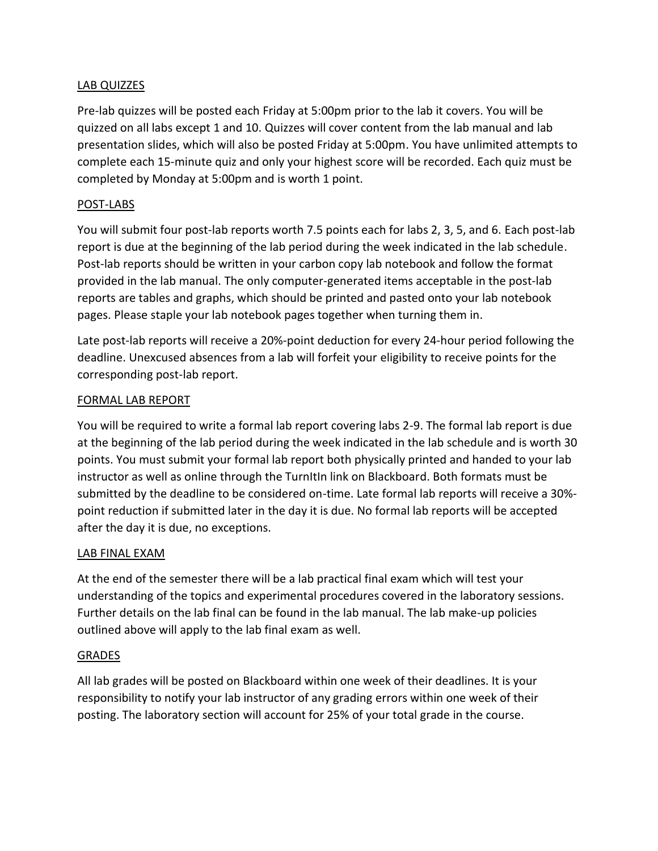## LAB QUIZZES

Pre-lab quizzes will be posted each Friday at 5:00pm prior to the lab it covers. You will be quizzed on all labs except 1 and 10. Quizzes will cover content from the lab manual and lab presentation slides, which will also be posted Friday at 5:00pm. You have unlimited attempts to complete each 15-minute quiz and only your highest score will be recorded. Each quiz must be completed by Monday at 5:00pm and is worth 1 point.

## POST-LABS

You will submit four post-lab reports worth 7.5 points each for labs 2, 3, 5, and 6. Each post-lab report is due at the beginning of the lab period during the week indicated in the lab schedule. Post-lab reports should be written in your carbon copy lab notebook and follow the format provided in the lab manual. The only computer-generated items acceptable in the post-lab reports are tables and graphs, which should be printed and pasted onto your lab notebook pages. Please staple your lab notebook pages together when turning them in.

Late post-lab reports will receive a 20%-point deduction for every 24-hour period following the deadline. Unexcused absences from a lab will forfeit your eligibility to receive points for the corresponding post-lab report.

#### FORMAL LAB REPORT

You will be required to write a formal lab report covering labs 2-9. The formal lab report is due at the beginning of the lab period during the week indicated in the lab schedule and is worth 30 points. You must submit your formal lab report both physically printed and handed to your lab instructor as well as online through the TurnItIn link on Blackboard. Both formats must be submitted by the deadline to be considered on-time. Late formal lab reports will receive a 30% point reduction if submitted later in the day it is due. No formal lab reports will be accepted after the day it is due, no exceptions.

## LAB FINAL EXAM

At the end of the semester there will be a lab practical final exam which will test your understanding of the topics and experimental procedures covered in the laboratory sessions. Further details on the lab final can be found in the lab manual. The lab make-up policies outlined above will apply to the lab final exam as well.

#### GRADES

All lab grades will be posted on Blackboard within one week of their deadlines. It is your responsibility to notify your lab instructor of any grading errors within one week of their posting. The laboratory section will account for 25% of your total grade in the course.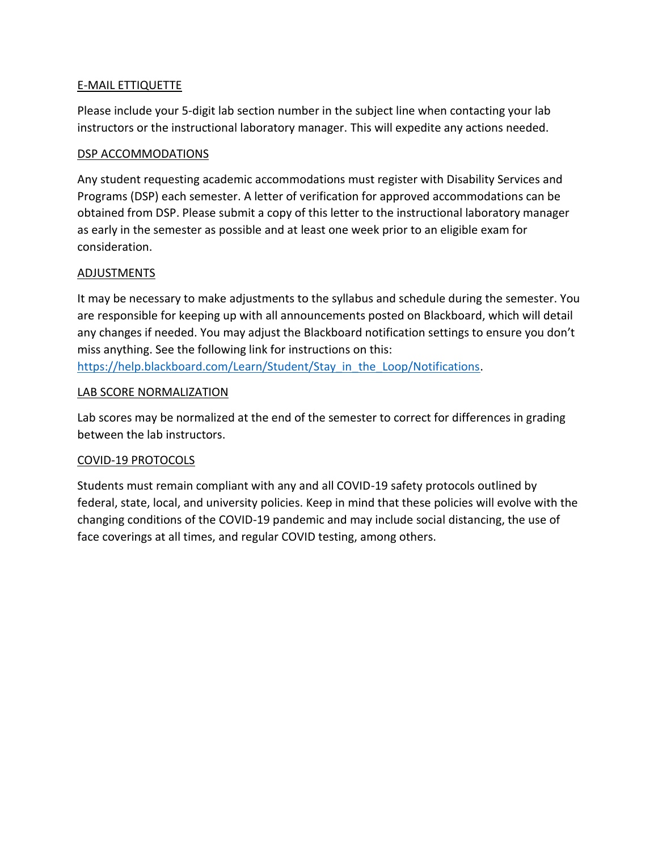## E-MAIL ETTIQUETTE

Please include your 5-digit lab section number in the subject line when contacting your lab instructors or the instructional laboratory manager. This will expedite any actions needed.

#### DSP ACCOMMODATIONS

Any student requesting academic accommodations must register with Disability Services and Programs (DSP) each semester. A letter of verification for approved accommodations can be obtained from DSP. Please submit a copy of this letter to the instructional laboratory manager as early in the semester as possible and at least one week prior to an eligible exam for consideration.

#### ADJUSTMENTS

It may be necessary to make adjustments to the syllabus and schedule during the semester. You are responsible for keeping up with all announcements posted on Blackboard, which will detail any changes if needed. You may adjust the Blackboard notification settings to ensure you don't miss anything. See the following link for instructions on this:

[https://help.blackboard.com/Learn/Student/Stay\\_in\\_the\\_Loop/Notifications.](https://help.blackboard.com/Learn/Student/Stay_in_the_Loop/Notifications)

### LAB SCORE NORMALIZATION

Lab scores may be normalized at the end of the semester to correct for differences in grading between the lab instructors.

## COVID-19 PROTOCOLS

Students must remain compliant with any and all COVID-19 safety protocols outlined by federal, state, local, and university policies. Keep in mind that these policies will evolve with the changing conditions of the COVID-19 pandemic and may include social distancing, the use of face coverings at all times, and regular COVID testing, among others.